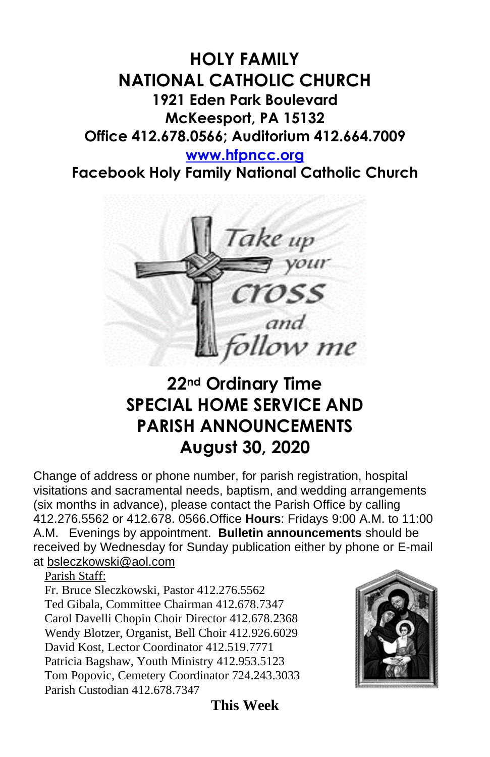## **HOLY FAMILY NATIONAL CATHOLIC CHURCH 1921 Eden Park Boulevard McKeesport, PA 15132 Office 412.678.0566; Auditorium 412.664.7009**

### **[www.hfpncc.org](http://www.hfpncc.org/)**

**Facebook Holy Family National Catholic Church**



# **22nd Ordinary Time SPECIAL HOME SERVICE AND PARISH ANNOUNCEMENTS August 30, 2020**

Change of address or phone number, for parish registration, hospital visitations and sacramental needs, baptism, and wedding arrangements (six months in advance), please contact the Parish Office by calling 412.276.5562 or 412.678. 0566.Office **Hours**: Fridays 9:00 A.M. to 11:00 A.M. Evenings by appointment. **Bulletin announcements** should be received by Wednesday for Sunday publication either by phone or E-mail at [bsleczkowski@aol.com](mailto:bsleczkowski@aol.com)

Parish Staff:

Fr. Bruce Sleczkowski, Pastor 412.276.5562 Ted Gibala, Committee Chairman 412.678.7347 Carol Davelli Chopin Choir Director 412.678.2368 Wendy Blotzer, Organist, Bell Choir 412.926.6029 David Kost, Lector Coordinator 412.519.7771 Patricia Bagshaw, Youth Ministry 412.953.5123 Tom Popovic, Cemetery Coordinator 724.243.3033 Parish Custodian 412.678.7347



**This Week**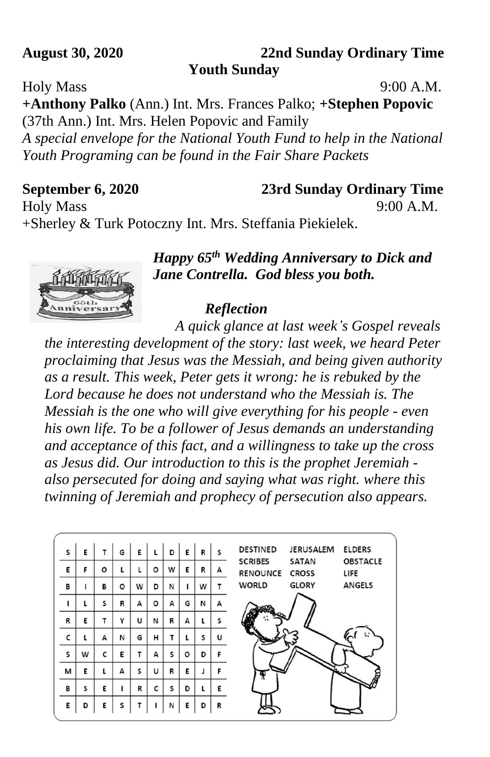### **August 30, 2020 22nd Sunday Ordinary Time Youth Sunday**

Holy Mass 9:00 A.M.

**+Anthony Palko** (Ann.) Int. Mrs. Frances Palko; **+Stephen Popovic** (37th Ann.) Int. Mrs. Helen Popovic and Family *A special envelope for the National Youth Fund to help in the National Youth Programing can be found in the Fair Share Packets*

### **September 6, 2020 23rd Sunday Ordinary Time**

Holy Mass 9:00 A.M.

+Sherley & Turk Potoczny Int. Mrs. Steffania Piekielek.



## *Happy 65th Wedding Anniversary to Dick and Jane Contrella. God bless you both.*

## *Reflection*

 *A quick glance at last week's Gospel reveals the interesting development of the story: last week, we heard Peter proclaiming that Jesus was the Messiah, and being given authority as a result. This week, Peter gets it wrong: he is rebuked by the Lord because he does not understand who the Messiah is. The Messiah is the one who will give everything for his people - even his own life. To be a follower of Jesus demands an understanding and acceptance of this fact, and a willingness to take up the cross as Jesus did. Our introduction to this is the prophet Jeremiah also persecuted for doing and saying what was right. where this twinning of Jeremiah and prophecy of persecution also appears.*

| s            | Е | т | G | Ε | L       | D | Ε | R | S | <b>DESTINED</b><br><b>JERUSALEM</b><br><b>ELDERS</b>                                         |
|--------------|---|---|---|---|---------|---|---|---|---|----------------------------------------------------------------------------------------------|
| E            | F | o |   |   | o       | w | E | R | А | <b>OBSTACLE</b><br><b>SCRIBES</b><br><b>SATAN</b><br><b>RENOUNCE</b><br><b>CROSS</b><br>LIFE |
| В            |   | в | o | w | D       | N |   | w | т | <b>WORLD</b><br><b>GLORY</b><br><b>ANGELS</b>                                                |
| ı            |   | S | R | А | $\circ$ | А | G | N | А |                                                                                              |
| $\mathsf{R}$ | Е | Τ | Υ | U | N       | R | A | ι | S |                                                                                              |
| c            |   | А | N | G | н       | т |   | S | u | ።                                                                                            |
| S            | W | C | Е | т | A       | S | o | D | F |                                                                                              |
| M            | Е |   | A | S | U       | R | E | J | F |                                                                                              |
| в            | s | Ε |   | R | C       | s | D | L | E |                                                                                              |
| E            | D | E | S |   |         | N | E | D | R |                                                                                              |